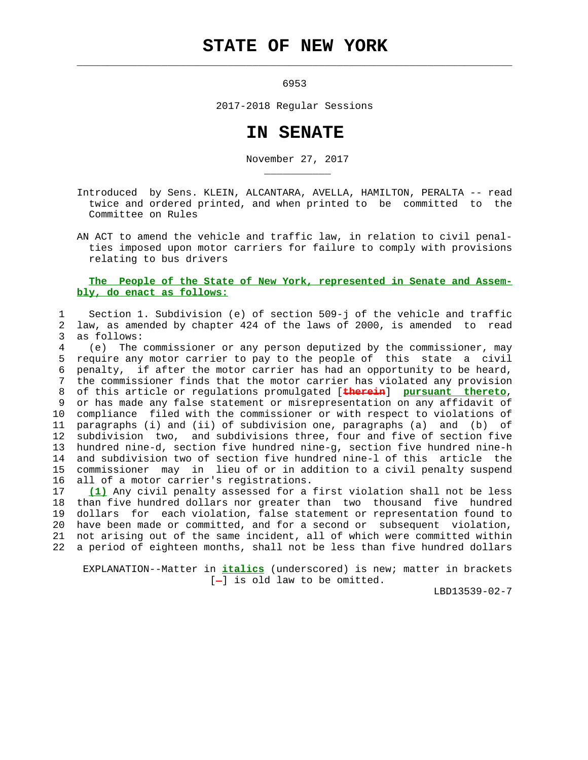## **STATE OF NEW YORK**

 $\mathcal{L}_\text{max} = \frac{1}{2} \sum_{i=1}^{n} \frac{1}{2} \sum_{i=1}^{n} \frac{1}{2} \sum_{i=1}^{n} \frac{1}{2} \sum_{i=1}^{n} \frac{1}{2} \sum_{i=1}^{n} \frac{1}{2} \sum_{i=1}^{n} \frac{1}{2} \sum_{i=1}^{n} \frac{1}{2} \sum_{i=1}^{n} \frac{1}{2} \sum_{i=1}^{n} \frac{1}{2} \sum_{i=1}^{n} \frac{1}{2} \sum_{i=1}^{n} \frac{1}{2} \sum_{i=1}^{n} \frac{1$ 

\_\_\_\_\_\_\_\_\_\_\_

6953

2017-2018 Regular Sessions

## **IN SENATE**

November 27, 2017

 Introduced by Sens. KLEIN, ALCANTARA, AVELLA, HAMILTON, PERALTA -- read twice and ordered printed, and when printed to be committed to the Committee on Rules

 AN ACT to amend the vehicle and traffic law, in relation to civil penal ties imposed upon motor carriers for failure to comply with provisions relating to bus drivers

## **The People of the State of New York, represented in Senate and Assem bly, do enact as follows:**

 1 Section 1. Subdivision (e) of section 509-j of the vehicle and traffic 2 law, as amended by chapter 424 of the laws of 2000, is amended to read 3 as follows:

 4 (e) The commissioner or any person deputized by the commissioner, may 5 require any motor carrier to pay to the people of this state a civil 6 penalty, if after the motor carrier has had an opportunity to be heard, 7 the commissioner finds that the motor carrier has violated any provision 8 of this article or regulations promulgated [**therein**] **pursuant thereto**, 9 or has made any false statement or misrepresentation on any affidavit of 10 compliance filed with the commissioner or with respect to violations of 11 paragraphs (i) and (ii) of subdivision one, paragraphs (a) and (b) of 12 subdivision two, and subdivisions three, four and five of section five 13 hundred nine-d, section five hundred nine-g, section five hundred nine-h 14 and subdivision two of section five hundred nine-l of this article the 15 commissioner may in lieu of or in addition to a civil penalty suspend 16 all of a motor carrier's registrations.

 17 **(1)** Any civil penalty assessed for a first violation shall not be less 18 than five hundred dollars nor greater than two thousand five hundred 19 dollars for each violation, false statement or representation found to 20 have been made or committed, and for a second or subsequent violation, 21 not arising out of the same incident, all of which were committed within 22 a period of eighteen months, shall not be less than five hundred dollars

 EXPLANATION--Matter in **italics** (underscored) is new; matter in brackets  $[-]$  is old law to be omitted.

LBD13539-02-7